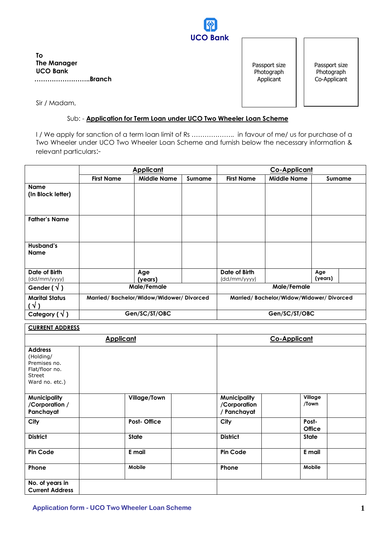

**To The Manager UCO Bank ……………………..Branch**

Passport size Photograph Applicant

Passport size Photograph Co-Applicant

Sir / Madam,

## Sub: - **Application for Term Loan under UCO Two Wheeler Loan Scheme**

I / We apply for sanction of a term loan limit of Rs ...................... in favour of me/ us for purchase of a Two Wheeler under UCO Two Wheeler Loan Scheme and furnish below the necessary information & relevant particulars:-

|                                       |                                         | <b>Applicant</b>   |         | <b>Co-Applicant</b>                     |                    |                |
|---------------------------------------|-----------------------------------------|--------------------|---------|-----------------------------------------|--------------------|----------------|
|                                       | <b>First Name</b>                       | <b>Middle Name</b> | Surname | <b>First Name</b>                       | <b>Middle Name</b> | Surname        |
| <b>Name</b><br>(In Block letter)      |                                         |                    |         |                                         |                    |                |
| <b>Father's Name</b>                  |                                         |                    |         |                                         |                    |                |
| Husband's<br><b>Name</b>              |                                         |                    |         |                                         |                    |                |
| Date of Birth<br>(dd/mm/yyyy)         |                                         | Age<br>(years)     |         | Date of Birth<br>(dd/mm/yyyy)           |                    | Age<br>(years) |
| Gender ( $\sqrt{ }$ )                 |                                         | Male/Female        |         | Male/Female                             |                    |                |
| <b>Marital Status</b><br>$(\sqrt{2})$ | Married/Bachelor/Widow/Widower/Divorced |                    |         | Married/Bachelor/Widow/Widower/Divorced |                    |                |
| Category $(\sqrt{})$                  |                                         | Gen/SC/ST/OBC      |         | Gen/SC/ST/OBC                           |                    |                |

### **CURRENT ADDRESS**

|                                                                                           | <b>Applicant</b>   | <b>Co-Applicant</b>                                                    |
|-------------------------------------------------------------------------------------------|--------------------|------------------------------------------------------------------------|
| <b>Address</b><br>(Holding/<br>Premises no.<br>Flat/floor no.<br>Street<br>Ward no. etc.) |                    |                                                                        |
| <b>Municipality</b><br>/Corporation /<br>Panchayat                                        | Village/Town       | Village<br><b>Municipality</b><br>/Town<br>/Corporation<br>/ Panchayat |
| City                                                                                      | <b>Post-Office</b> | Post-<br>City<br><b>Office</b>                                         |
| <b>District</b>                                                                           | <b>State</b>       | <b>District</b><br><b>State</b>                                        |
| Pin Code                                                                                  | E mail             | <b>Pin Code</b><br>E mail                                              |
| Phone                                                                                     | Mobile             | Mobile<br>Phone                                                        |
| No. of years in<br><b>Current Address</b>                                                 |                    |                                                                        |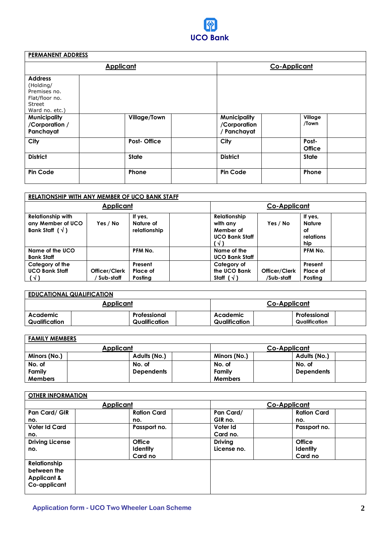

# **PERMANENT ADDRESS**

|                                                                                           | <b>Applicant</b>   | <b>Co-Applicant</b>                                                    |  |  |
|-------------------------------------------------------------------------------------------|--------------------|------------------------------------------------------------------------|--|--|
| <b>Address</b><br>(Holding/<br>Premises no.<br>Flat/floor no.<br>Street<br>Ward no. etc.) |                    |                                                                        |  |  |
| <b>Municipality</b><br>/Corporation /<br>Panchayat                                        | Village/Town       | <b>Municipality</b><br>Village<br>/Town<br>/Corporation<br>/ Panchayat |  |  |
| City                                                                                      | <b>Post-Office</b> | Post-<br>City<br><b>Office</b>                                         |  |  |
| <b>District</b>                                                                           | <b>State</b>       | <b>District</b><br><b>State</b>                                        |  |  |
| Pin Code                                                                                  | Phone              | <b>Pin Code</b><br>Phone                                               |  |  |

|                                                                         | <b>RELATIONSHIP WITH ANY MEMBER OF UCO BANK STAFF</b> |                                      |                                                                      |                             |                                                    |  |
|-------------------------------------------------------------------------|-------------------------------------------------------|--------------------------------------|----------------------------------------------------------------------|-----------------------------|----------------------------------------------------|--|
|                                                                         | <b>Applicant</b>                                      |                                      |                                                                      | Co-Applicant                |                                                    |  |
| <b>Relationship with</b><br>any Member of UCO<br>Bank Staff $(\sqrt{})$ | Yes / No                                              | If yes,<br>Nature of<br>relationship | Relationship<br>with any<br>Member of<br><b>UCO Bank Staff</b><br>ิง | Yes / No                    | If yes,<br><b>Nature</b><br>оf<br>relations<br>hip |  |
| Name of the UCO<br><b>Bank Staff</b>                                    |                                                       | PFM No.                              | Name of the<br><b>UCO Bank Staff</b>                                 |                             | PFM No.                                            |  |
| Category of the<br><b>UCO Bank Staff</b><br>$(\sqrt{ } )$               | Officer/Clerk<br>Sub-staff                            | Present<br>Place of<br>Posting       | Category of<br>the UCO Bank<br>Staff $(\sqrt{})$                     | Officer/Clerk<br>/Sub-staff | Present<br>Place of<br>Posting                     |  |

| <b>EDUCATIONAL QUALIFICATION</b> |               |               |               |  |  |
|----------------------------------|---------------|---------------|---------------|--|--|
|                                  | Applicant     |               | Co-Applicant  |  |  |
| Academic                         | Professional  | Academic      | Professional  |  |  |
| Qualification                    | Qualification | Qualification | Qualification |  |  |

## **FAMILY MEMBERS**

| <b>Applicant</b> |  |                   |  | Co-Applicant   |  |                   |  |
|------------------|--|-------------------|--|----------------|--|-------------------|--|
| Minors (No.)     |  | Adults (No.)      |  | Minors (No.)   |  | Adults (No.)      |  |
| No. of           |  | No. of            |  | No. of         |  | No. of            |  |
| Family           |  | <b>Dependents</b> |  | Family         |  | <b>Dependents</b> |  |
| <b>Members</b>   |  |                   |  | <b>Members</b> |  |                   |  |

|                                                                       | <b>Applicant</b>                            |                               | <b>Co-Applicant</b>                         |
|-----------------------------------------------------------------------|---------------------------------------------|-------------------------------|---------------------------------------------|
| Pan Card/ GIR<br>no.                                                  | <b>Ration Card</b><br>no.                   | Pan Card/<br>GIR no.          | <b>Ration Card</b><br>no.                   |
| <b>Voter Id Card</b><br>no.                                           | Passport no.                                | Voter Id<br>Card no.          | Passport no.                                |
| <b>Driving License</b><br>no.                                         | <b>Office</b><br><b>Identity</b><br>Card no | <b>Driving</b><br>License no. | <b>Office</b><br><b>Identity</b><br>Card no |
| Relationship<br>between the<br><b>Applicant &amp;</b><br>Co-applicant |                                             |                               |                                             |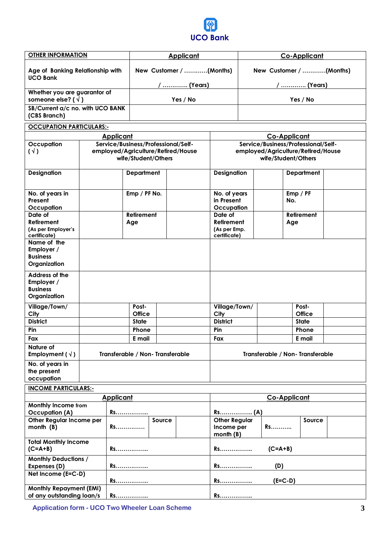

| <b>OTHER INFORMATION</b>                                          |                                  |                                     | <b>Applicant</b>                   |                                                           | <b>Co-Applicant</b>     |                                     |  |
|-------------------------------------------------------------------|----------------------------------|-------------------------------------|------------------------------------|-----------------------------------------------------------|-------------------------|-------------------------------------|--|
| <b>UCO Bank</b>                                                   | Age of Banking Relationship with |                                     | New Customer / (Months)            |                                                           | New Customer / (Months) |                                     |  |
| Whether you are guarantor of<br>someone else? ( $\sqrt{ }$ )      |                                  |                                     | /  (Years)<br>Yes / No             |                                                           | /  (Years)<br>Yes / No  |                                     |  |
| SB/Current a/c no. with UCO BANK<br>(CBS Branch)                  |                                  |                                     |                                    |                                                           |                         |                                     |  |
| <b>OCCUPATION PARTICULARS:-</b>                                   |                                  |                                     |                                    |                                                           |                         |                                     |  |
|                                                                   |                                  | <b>Applicant</b>                    |                                    |                                                           |                         | Co-Applicant                        |  |
| Occupation                                                        |                                  | Service/Business/Professional/Self- |                                    |                                                           |                         | Service/Business/Professional/Self- |  |
| $(\vee)$                                                          |                                  | wife/Student/Others                 | employed/Agriculture/Retired/House | employed/Agriculture/Retired/House<br>wife/Student/Others |                         |                                     |  |
| <b>Designation</b>                                                |                                  | <b>Department</b>                   |                                    | <b>Designation</b>                                        |                         | <b>Department</b>                   |  |
| No. of years in<br>Present                                        |                                  | Emp / PF No.                        |                                    | No. of years<br>in Present                                |                         | Emp / PF<br>No.                     |  |
| Occupation<br>Date of                                             |                                  | <b>Retirement</b>                   |                                    | Occupation<br>Date of                                     |                         | <b>Retirement</b>                   |  |
| Retirement<br>(As per Employer's<br>certificate)                  |                                  | Age                                 |                                    | Retirement<br>(As per Emp.<br>certificate)                |                         | Age                                 |  |
| Name of the<br>Employer /<br><b>Business</b><br>Organization      |                                  |                                     |                                    |                                                           |                         |                                     |  |
| Address of the<br>Employer /<br><b>Business</b><br>Organization   |                                  |                                     |                                    |                                                           |                         |                                     |  |
| Village/Town/<br>City                                             |                                  | Post-<br><b>Office</b>              |                                    | Village/Town/<br>City                                     |                         | Post-<br><b>Office</b>              |  |
| <b>District</b>                                                   |                                  | <b>State</b>                        |                                    | <b>District</b>                                           |                         | <b>State</b>                        |  |
| Pin                                                               |                                  | Phone                               |                                    | Pin                                                       |                         | Phone                               |  |
| Fax                                                               |                                  | E mail                              |                                    | Fax                                                       |                         | E mail                              |  |
| Nature of<br>Employment ( $\sqrt{ }$ )                            |                                  | Transferable / Non-Transferable     |                                    |                                                           |                         | Transferable / Non-Transferable     |  |
| No. of years in<br>the present<br>occupation                      |                                  |                                     |                                    |                                                           |                         |                                     |  |
| <b>INCOME PARTICULARS:-</b>                                       |                                  |                                     |                                    |                                                           |                         |                                     |  |
|                                                                   |                                  | <b>Applicant</b>                    |                                    | <b>Co-Applicant</b>                                       |                         |                                     |  |
| <b>Monthly Income from</b>                                        |                                  |                                     |                                    |                                                           |                         |                                     |  |
| <b>Occupation (A)</b><br>Other Regular Income per<br>month (B)    |                                  | Rs<br>Rs.                           | Source                             | <b>Other Regular</b><br>Income per<br>month $(B)$         |                         | Source<br><b>Rs</b>                 |  |
| <b>Total Monthly Income</b><br>$(C= A+B)$                         |                                  | Rs                                  |                                    | $(C= A+B)$<br>Rs                                          |                         |                                     |  |
| <b>Monthly Deductions /</b><br>Expenses (D)                       |                                  | Rs                                  |                                    | <b>Rs</b>                                                 | (D)                     |                                     |  |
| Net Income (E=C-D)                                                |                                  |                                     |                                    | $(E=C-D)$                                                 |                         |                                     |  |
| Rs<br><b>Monthly Repayment (EMI)</b><br>of any outstanding loan/s |                                  | Rs.                                 |                                    |                                                           | Rs<br>Rs <u></u>        |                                     |  |

**Application form - UCO Two Wheeler Loan Scheme 3**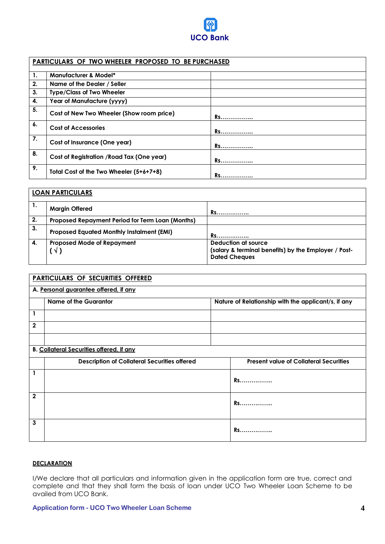

|                | PARTICULARS OF TWO WHEELER PROPOSED TO BE PURCHASED |           |  |  |  |
|----------------|-----------------------------------------------------|-----------|--|--|--|
| 1.             | <b>Manufacturer &amp; Model*</b>                    |           |  |  |  |
| 2.             | Name of the Dealer / Seller                         |           |  |  |  |
| 3 <sub>1</sub> | <b>Type/Class of Two Wheeler</b>                    |           |  |  |  |
| 4.             | Year of Manufacture (yyyy)                          |           |  |  |  |
| 5.             | Cost of New Two Wheeler (Show room price)           | Rs        |  |  |  |
| 6.             | <b>Cost of Accessories</b>                          | <b>Rs</b> |  |  |  |
| 7.             | Cost of Insurance (One year)                        | Rs        |  |  |  |
| 8.             | Cost of Registration / Road Tax (One year)          | Rs        |  |  |  |
| 9.             | Total Cost of the Two Wheeler (5+6+7+8)             | Rs        |  |  |  |

|    | <b>LOAN PARTICULARS</b>                          |                                                      |
|----|--------------------------------------------------|------------------------------------------------------|
| 1. | <b>Margin Offered</b>                            | <b>Rs</b>                                            |
| 2. | Proposed Repayment Period for Term Loan (Months) |                                                      |
| 3. | <b>Proposed Equated Monthly Instalment (EMI)</b> | <b>Rs</b>                                            |
| 4. | <b>Proposed Mode of Repayment</b>                | Deduction at source                                  |
|    | V)                                               | (salary & terminal benefits) by the Employer / Post- |
|    |                                                  | <b>Dated Cheques</b>                                 |

|              | PARTICULARS OF SECURITIES OFFERED                   |  |                                                     |  |  |
|--------------|-----------------------------------------------------|--|-----------------------------------------------------|--|--|
|              | A. Personal guarantee offered, if any               |  |                                                     |  |  |
|              | <b>Name of the Guarantor</b>                        |  | Nature of Relationship with the applicant/s, if any |  |  |
| 1            |                                                     |  |                                                     |  |  |
| $\mathbf{2}$ |                                                     |  |                                                     |  |  |
|              |                                                     |  |                                                     |  |  |
|              | <b>B. Collateral Securities offered, if any</b>     |  |                                                     |  |  |
|              | <b>Description of Collateral Securities offered</b> |  | <b>Present value of Collateral Securities</b>       |  |  |
|              |                                                     |  | <b>Rs</b>                                           |  |  |
| $\mathbf{2}$ |                                                     |  | Rs                                                  |  |  |
| 3            |                                                     |  | <b>Rs</b>                                           |  |  |

## **DECLARATION**

I/We declare that all particulars and information given in the application form are true, correct and complete and that they shall form the basis of loan under UCO Two Wheeler Loan Scheme to be availed from UCO Bank.

#### **Application form - UCO Two Wheeler Loan Scheme 4**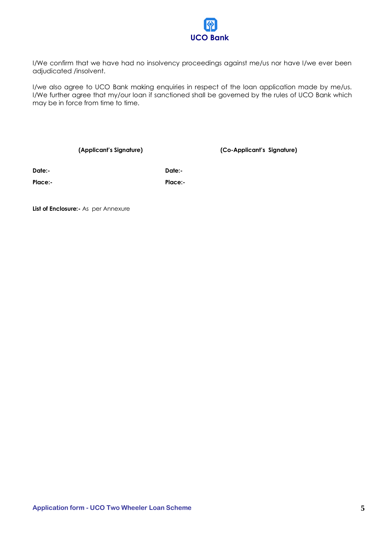

I/We confirm that we have had no insolvency proceedings against me/us nor have I/we ever been adjudicated /insolvent.

I/we also agree to UCO Bank making enquiries in respect of the loan application made by me/us. I/We further agree that my/our loan if sanctioned shall be governed by the rules of UCO Bank which may be in force from time to time.

**(Applicant's Signature) (Co-Applicant's Signature)**

**Date:- Date:-**

**Place:- Place:-**

**List of Enclosure:** As per Annexure